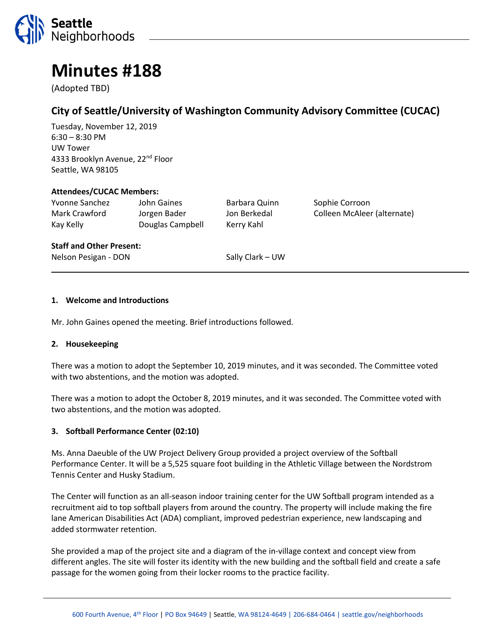

# **Minutes #188**

(Adopted TBD)

# **City of Seattle/University of Washington Community Advisory Committee (CUCAC)**

Tuesday, November 12, 2019 6:30 – 8:30 PM UW Tower 4333 Brooklyn Avenue, 22<sup>nd</sup> Floor Seattle, WA 98105

#### **Attendees/CUCAC Members:**

Yvonne Sanchez John Gaines Barbara Quinn Sophie Corroon Kay Kelly Douglas Campbell Kerry Kahl

Mark Crawford Jorgen Bader Jon Berkedal Colleen McAleer (alternate)

#### **Staff and Other Present:**

Nelson Pesigan - DON Sally Clark – UW

#### **1. Welcome and Introductions**

Mr. John Gaines opened the meeting. Brief introductions followed.

#### **2. Housekeeping**

There was a motion to adopt the September 10, 2019 minutes, and it was seconded. The Committee voted with two abstentions, and the motion was adopted.

There was a motion to adopt the October 8, 2019 minutes, and it was seconded. The Committee voted with two abstentions, and the motion was adopted.

#### **3. Softball Performance Center (02:10)**

Ms. Anna Daeuble of the UW Project Delivery Group provided a project overview of the Softball Performance Center. It will be a 5,525 square foot building in the Athletic Village between the Nordstrom Tennis Center and Husky Stadium.

The Center will function as an all-season indoor training center for the UW Softball program intended as a recruitment aid to top softball players from around the country. The property will include making the fire lane American Disabilities Act (ADA) compliant, improved pedestrian experience, new landscaping and added stormwater retention.

She provided a map of the project site and a diagram of the in-village context and concept view from different angles. The site will foster its identity with the new building and the softball field and create a safe passage for the women going from their locker rooms to the practice facility.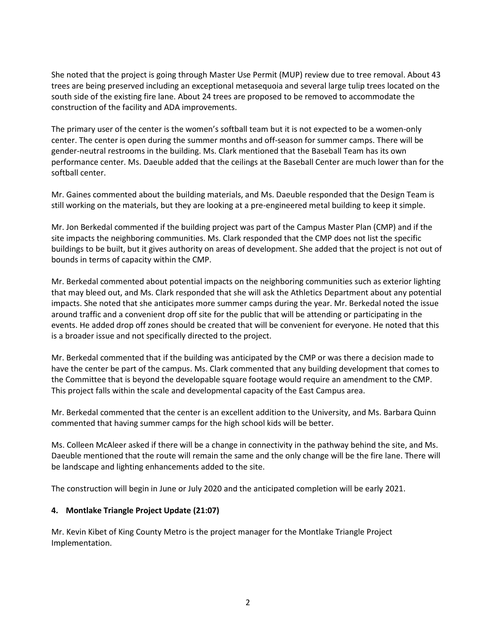She noted that the project is going through Master Use Permit (MUP) review due to tree removal. About 43 trees are being preserved including an exceptional metasequoia and several large tulip trees located on the south side of the existing fire lane. About 24 trees are proposed to be removed to accommodate the construction of the facility and ADA improvements.

The primary user of the center is the women's softball team but it is not expected to be a women-only center. The center is open during the summer months and off-season for summer camps. There will be gender-neutral restrooms in the building. Ms. Clark mentioned that the Baseball Team has its own performance center. Ms. Daeuble added that the ceilings at the Baseball Center are much lower than for the softball center.

Mr. Gaines commented about the building materials, and Ms. Daeuble responded that the Design Team is still working on the materials, but they are looking at a pre-engineered metal building to keep it simple.

Mr. Jon Berkedal commented if the building project was part of the Campus Master Plan (CMP) and if the site impacts the neighboring communities. Ms. Clark responded that the CMP does not list the specific buildings to be built, but it gives authority on areas of development. She added that the project is not out of bounds in terms of capacity within the CMP.

Mr. Berkedal commented about potential impacts on the neighboring communities such as exterior lighting that may bleed out, and Ms. Clark responded that she will ask the Athletics Department about any potential impacts. She noted that she anticipates more summer camps during the year. Mr. Berkedal noted the issue around traffic and a convenient drop off site for the public that will be attending or participating in the events. He added drop off zones should be created that will be convenient for everyone. He noted that this is a broader issue and not specifically directed to the project.

Mr. Berkedal commented that if the building was anticipated by the CMP or was there a decision made to have the center be part of the campus. Ms. Clark commented that any building development that comes to the Committee that is beyond the developable square footage would require an amendment to the CMP. This project falls within the scale and developmental capacity of the East Campus area.

Mr. Berkedal commented that the center is an excellent addition to the University, and Ms. Barbara Quinn commented that having summer camps for the high school kids will be better.

Ms. Colleen McAleer asked if there will be a change in connectivity in the pathway behind the site, and Ms. Daeuble mentioned that the route will remain the same and the only change will be the fire lane. There will be landscape and lighting enhancements added to the site.

The construction will begin in June or July 2020 and the anticipated completion will be early 2021.

#### **4. Montlake Triangle Project Update (21:07)**

Mr. Kevin Kibet of King County Metro is the project manager for the Montlake Triangle Project Implementation.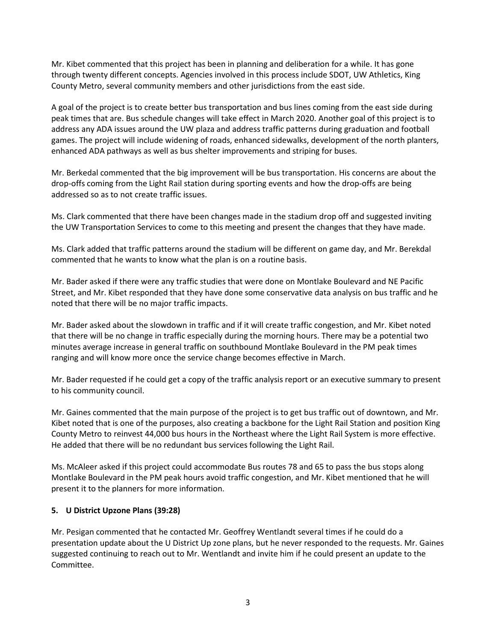Mr. Kibet commented that this project has been in planning and deliberation for a while. It has gone through twenty different concepts. Agencies involved in this process include SDOT, UW Athletics, King County Metro, several community members and other jurisdictions from the east side.

A goal of the project is to create better bus transportation and bus lines coming from the east side during peak times that are. Bus schedule changes will take effect in March 2020. Another goal of this project is to address any ADA issues around the UW plaza and address traffic patterns during graduation and football games. The project will include widening of roads, enhanced sidewalks, development of the north planters, enhanced ADA pathways as well as bus shelter improvements and striping for buses.

Mr. Berkedal commented that the big improvement will be bus transportation. His concerns are about the drop-offs coming from the Light Rail station during sporting events and how the drop-offs are being addressed so as to not create traffic issues.

Ms. Clark commented that there have been changes made in the stadium drop off and suggested inviting the UW Transportation Services to come to this meeting and present the changes that they have made.

Ms. Clark added that traffic patterns around the stadium will be different on game day, and Mr. Berekdal commented that he wants to know what the plan is on a routine basis.

Mr. Bader asked if there were any traffic studies that were done on Montlake Boulevard and NE Pacific Street, and Mr. Kibet responded that they have done some conservative data analysis on bus traffic and he noted that there will be no major traffic impacts.

Mr. Bader asked about the slowdown in traffic and if it will create traffic congestion, and Mr. Kibet noted that there will be no change in traffic especially during the morning hours. There may be a potential two minutes average increase in general traffic on southbound Montlake Boulevard in the PM peak times ranging and will know more once the service change becomes effective in March.

Mr. Bader requested if he could get a copy of the traffic analysis report or an executive summary to present to his community council.

Mr. Gaines commented that the main purpose of the project is to get bus traffic out of downtown, and Mr. Kibet noted that is one of the purposes, also creating a backbone for the Light Rail Station and position King County Metro to reinvest 44,000 bus hours in the Northeast where the Light Rail System is more effective. He added that there will be no redundant bus services following the Light Rail.

Ms. McAleer asked if this project could accommodate Bus routes 78 and 65 to pass the bus stops along Montlake Boulevard in the PM peak hours avoid traffic congestion, and Mr. Kibet mentioned that he will present it to the planners for more information.

# **5. U District Upzone Plans (39:28)**

Mr. Pesigan commented that he contacted Mr. Geoffrey Wentlandt several times if he could do a presentation update about the U District Up zone plans, but he never responded to the requests. Mr. Gaines suggested continuing to reach out to Mr. Wentlandt and invite him if he could present an update to the Committee.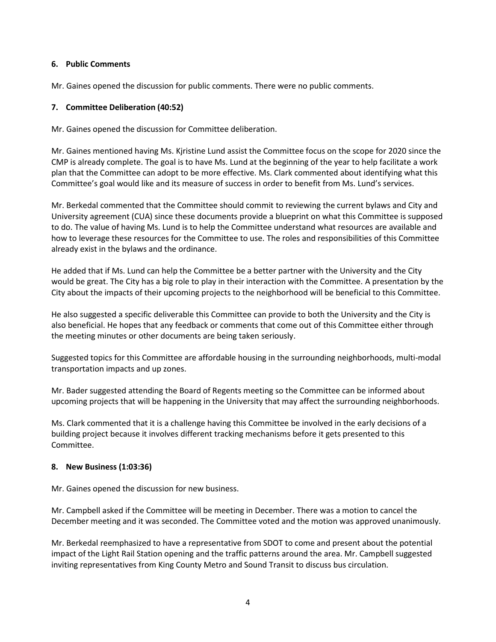### **6. Public Comments**

Mr. Gaines opened the discussion for public comments. There were no public comments.

## **7. Committee Deliberation (40:52)**

Mr. Gaines opened the discussion for Committee deliberation.

Mr. Gaines mentioned having Ms. Kjristine Lund assist the Committee focus on the scope for 2020 since the CMP is already complete. The goal is to have Ms. Lund at the beginning of the year to help facilitate a work plan that the Committee can adopt to be more effective. Ms. Clark commented about identifying what this Committee's goal would like and its measure of success in order to benefit from Ms. Lund's services.

Mr. Berkedal commented that the Committee should commit to reviewing the current bylaws and City and University agreement (CUA) since these documents provide a blueprint on what this Committee is supposed to do. The value of having Ms. Lund is to help the Committee understand what resources are available and how to leverage these resources for the Committee to use. The roles and responsibilities of this Committee already exist in the bylaws and the ordinance.

He added that if Ms. Lund can help the Committee be a better partner with the University and the City would be great. The City has a big role to play in their interaction with the Committee. A presentation by the City about the impacts of their upcoming projects to the neighborhood will be beneficial to this Committee.

He also suggested a specific deliverable this Committee can provide to both the University and the City is also beneficial. He hopes that any feedback or comments that come out of this Committee either through the meeting minutes or other documents are being taken seriously.

Suggested topics for this Committee are affordable housing in the surrounding neighborhoods, multi-modal transportation impacts and up zones.

Mr. Bader suggested attending the Board of Regents meeting so the Committee can be informed about upcoming projects that will be happening in the University that may affect the surrounding neighborhoods.

Ms. Clark commented that it is a challenge having this Committee be involved in the early decisions of a building project because it involves different tracking mechanisms before it gets presented to this Committee.

#### **8. New Business (1:03:36)**

Mr. Gaines opened the discussion for new business.

Mr. Campbell asked if the Committee will be meeting in December. There was a motion to cancel the December meeting and it was seconded. The Committee voted and the motion was approved unanimously.

Mr. Berkedal reemphasized to have a representative from SDOT to come and present about the potential impact of the Light Rail Station opening and the traffic patterns around the area. Mr. Campbell suggested inviting representatives from King County Metro and Sound Transit to discuss bus circulation.